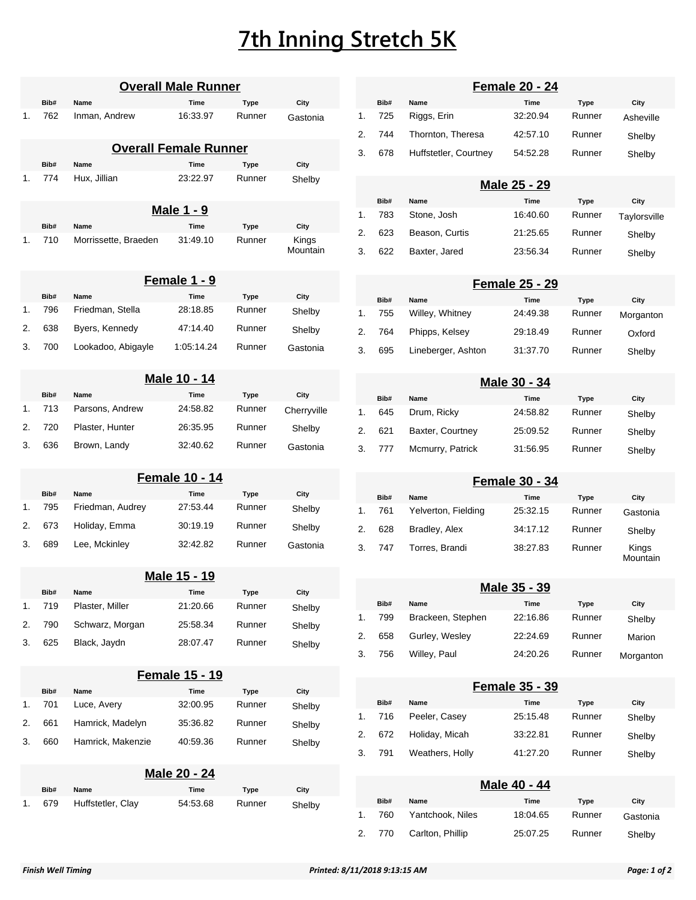## **7th Inning Stretch 5K**

|    | <b>Overall Male Runner</b> |                      |                              |             |                   |  |
|----|----------------------------|----------------------|------------------------------|-------------|-------------------|--|
|    | Bib#                       | Name                 | Time                         | Type        | City              |  |
| 1. | 762                        | Inman, Andrew        | 16:33.97                     | Runner      | Gastonia          |  |
|    |                            |                      | <b>Overall Female Runner</b> |             |                   |  |
|    | Bib#                       | Name                 | Time                         | <b>Type</b> | City              |  |
| 1. | 774                        | Hux, Jillian         | 23:22.97                     | Runner      | Shelby            |  |
|    |                            |                      | <u>Male 1 - 9</u>            |             |                   |  |
|    | Bib#                       | Name                 | Time                         | Type        | City              |  |
| 1. | 710                        | Morrissette, Braeden | 31:49.10                     | Runner      | Kings<br>Mountain |  |
|    |                            |                      | <u>Female 1 - 9</u>          |             |                   |  |
|    | Bib#                       | Name                 | Time                         | <b>Type</b> | City              |  |
| 1. | 796                        | Friedman, Stella     | 28:18.85                     | Runner      | Shelby            |  |
| 2. | 638                        | Byers, Kennedy       | 47:14.40                     | Runner      | Shelby            |  |
| 3. | 700                        | Lookadoo, Abigayle   | 1:05:14.24                   | Runner      | Gastonia          |  |
|    |                            |                      | Male 10 - 14                 |             |                   |  |
|    | Bib#                       | Name                 | Time                         | <b>Type</b> | City              |  |
| 1. | 713                        | Parsons, Andrew      | 24:58.82                     | Runner      | Cherryville       |  |
| 2. | 720                        | Plaster, Hunter      | 26:35.95                     | Runner      | Shelby            |  |
| 3. | 636                        | Brown, Landy         | 32:40.62                     | Runner      | Gastonia          |  |
|    |                            |                      | <b>Female 10 - 14</b>        |             |                   |  |
|    | Bib#                       | Name                 | Time                         | Type        | City              |  |
| 1. | 795                        | Friedman, Audrey     | 27:53.44                     | Runner      | Shelby            |  |
| 2. | 673                        | Holiday, Emma        | 30:19.19                     | Runner      | Shelby            |  |
| 3. | 689                        | Lee, Mckinley        | 32:42.82                     | Runner      | Gastonia          |  |
|    |                            |                      | <u>Male 15 - 19</u>          |             |                   |  |
|    | Bib#                       | Name                 | Time                         | Type        | City              |  |
| 1. | 719                        | Plaster, Miller      | 21:20.66                     | Runner      | Shelby            |  |
| 2. | 790                        | Schwarz, Morgan      | 25:58.34                     | Runner      | Shelby            |  |
| 3. | 625                        | Black, Jaydn         | 28:07.47                     | Runner      | Shelby            |  |
|    |                            |                      | <b>Female 15 - 19</b>        |             |                   |  |
|    | Bib#                       | Name                 | Time                         | <b>Type</b> | City              |  |
| 1. | 701                        | Luce, Avery          | 32:00.95                     | Runner      | Shelby            |  |
| 2. | 661                        | Hamrick, Madelyn     | 35:36.82                     | Runner      | Shelby            |  |
| 3. | 660                        | Hamrick, Makenzie    | 40:59.36                     | Runner      | Shelby            |  |
|    |                            |                      | <u> Male 20 - 24</u>         |             |                   |  |
|    | Bib#                       | Name                 | Time                         | Type        | City              |  |
| 1. | 679                        | Huffstetler, Clay    | 54:53.68                     | Runner      | Shelby            |  |

|--|

|    | Bib#   | Name                  | Time     | Type   | City      |  |
|----|--------|-----------------------|----------|--------|-----------|--|
|    | 1. 725 | Riggs, Erin           | 32.20.94 | Runner | Asheville |  |
|    | 744    | Thornton, Theresa     | 42:57.10 | Runner | Shelby    |  |
| 3. | 678    | Huffstetler, Courtney | 54:52.28 | Runner | Shelby    |  |

|    | Male 25 - 29 |                |          |        |              |  |  |
|----|--------------|----------------|----------|--------|--------------|--|--|
|    | Bib#         | Name           | Time     | Type   | City         |  |  |
| 1. | 783          | Stone, Josh    | 16:40.60 | Runner | Taylorsville |  |  |
| 2. | 623          | Beason, Curtis | 21:25.65 | Runner | Shelby       |  |  |
| 3. | 622          | Baxter, Jared  | 23:56.34 | Runner | Shelby       |  |  |

|    | <b>Female 25 - 29</b> |                    |          |        |           |  |  |
|----|-----------------------|--------------------|----------|--------|-----------|--|--|
|    | Bib#                  | Name               | Time     | Type   | City      |  |  |
| 1. | 755                   | Willey, Whitney    | 24:49.38 | Runner | Morganton |  |  |
| 2. | 764                   | Phipps, Kelsey     | 29:18.49 | Runner | Oxford    |  |  |
| 3. | 695                   | Lineberger, Ashton | 31:37.70 | Runner | Shelby    |  |  |

| Male 30 - 34 |      |                  |          |        |        |  |  |
|--------------|------|------------------|----------|--------|--------|--|--|
|              | Bib# | Name             | Time     | Type   | City   |  |  |
| 1.           | 645  | Drum, Ricky      | 24:58.82 | Runner | Shelby |  |  |
| 2.           | 621  | Baxter, Courtney | 25:09.52 | Runner | Shelby |  |  |
| 3.           | 777  | Mcmurry, Patrick | 31:56.95 | Runner | Shelby |  |  |

## **Female 30 - 34**

|                | Bib# | Name                | Time     | Type   | City              |
|----------------|------|---------------------|----------|--------|-------------------|
| $\mathbf{1}$ . | 761  | Yelverton, Fielding | 25:32.15 | Runner | Gastonia          |
| 2.             | 628  | Bradley, Alex       | 34:17.12 | Runner | Shelby            |
| 3.             | 747  | Torres, Brandi      | 38:27.83 | Runner | Kings<br>Mountain |

|    | Male 35 - 39 |                   |          |        |           |  |
|----|--------------|-------------------|----------|--------|-----------|--|
|    | Bib#         | Name              | Time     | Type   | City      |  |
| 1. | 799          | Brackeen, Stephen | 22:16.86 | Runner | Shelby    |  |
| 2. | 658          | Gurley, Wesley    | 22:24.69 | Runner | Marion    |  |
| 3. | 756          | Willey, Paul      | 24:20.26 | Runner | Morganton |  |

|    | <b>Female 35 - 39</b> |                 |          |        |        |  |  |
|----|-----------------------|-----------------|----------|--------|--------|--|--|
|    | Bib#                  | Name            | Time     | Type   | City   |  |  |
| 1. | 716                   | Peeler, Casey   | 25:15.48 | Runner | Shelby |  |  |
| 2. | 672                   | Holiday, Micah  | 33:22.81 | Runner | Shelby |  |  |
| 3. | 791                   | Weathers, Holly | 41:27.20 | Runner | Shelby |  |  |

|             | Male 40 - 44 |                  |          |        |          |  |  |
|-------------|--------------|------------------|----------|--------|----------|--|--|
|             | Bib#         | Name             | Time     | Type   | City     |  |  |
| $1_{\cdot}$ | 760          | Yantchook, Niles | 18:04.65 | Runner | Gastonia |  |  |
|             | 2. 770       | Carlton, Phillip | 25:07.25 | Runner | Shelby   |  |  |